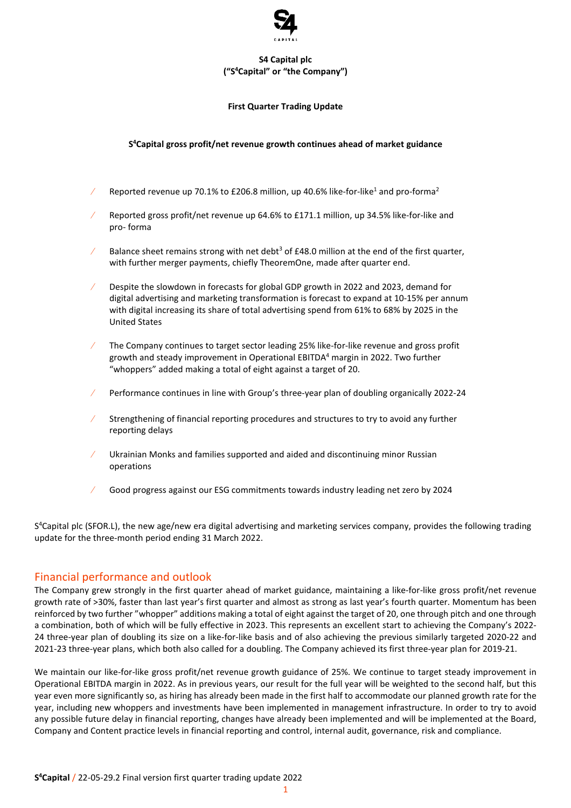

## **S4 Capital plc ("S <sup>4</sup>Capital" or "the Company")**

#### **First Quarter Trading Update**

## **S <sup>4</sup>Capital gross profit/net revenue growth continues ahead of market guidance**

- Reported revenue up 70.1% to £206.8 million, up 40.6% like-for-like<sup>1</sup> and pro-forma<sup>2</sup>
- Reported gross profit/net revenue up 64.6% to £171.1 million, up 34.5% like-for-like and pro- forma
- Balance sheet remains strong with net debt<sup>3</sup> of £48.0 million at the end of the first quarter, with further merger payments, chiefly TheoremOne, made after quarter end.
- Despite the slowdown in forecasts for global GDP growth in 2022 and 2023, demand for digital advertising and marketing transformation is forecast to expand at 10-15% per annum with digital increasing its share of total advertising spend from 61% to 68% by 2025 in the United States
- The Company continues to target sector leading 25% like-for-like revenue and gross profit growth and steady improvement in Operational EBITDA<sup>4</sup> margin in 2022. Two further "whoppers" added making a total of eight against a target of 20.
- Performance continues in line with Group's three-year plan of doubling organically 2022-24
- Strengthening of financial reporting procedures and structures to try to avoid any further reporting delays
- Ukrainian Monks and families supported and aided and discontinuing minor Russian operations
- Good progress against our ESG commitments towards industry leading net zero by 2024

S <sup>4</sup>Capital plc (SFOR.L), the new age/new era digital advertising and marketing services company, provides the following trading update for the three-month period ending 31 March 2022.

# Financial performance and outlook

The Company grew strongly in the first quarter ahead of market guidance, maintaining a like-for-like gross profit/net revenue growth rate of >30%, faster than last year's first quarter and almost as strong as last year's fourth quarter. Momentum has been reinforced by two further "whopper" additions making a total of eight against the target of 20, one through pitch and one through a combination, both of which will be fully effective in 2023. This represents an excellent start to achieving the Company's 2022- 24 three-year plan of doubling its size on a like-for-like basis and of also achieving the previous similarly targeted 2020-22 and 2021-23 three-year plans, which both also called for a doubling. The Company achieved its first three-year plan for 2019-21.

We maintain our like-for-like gross profit/net revenue growth guidance of 25%. We continue to target steady improvement in Operational EBITDA margin in 2022. As in previous years, our result for the full year will be weighted to the second half, but this year even more significantly so, as hiring has already been made in the first half to accommodate our planned growth rate for the year, including new whoppers and investments have been implemented in management infrastructure. In order to try to avoid any possible future delay in financial reporting, changes have already been implemented and will be implemented at the Board, Company and Content practice levels in financial reporting and control, internal audit, governance, risk and compliance.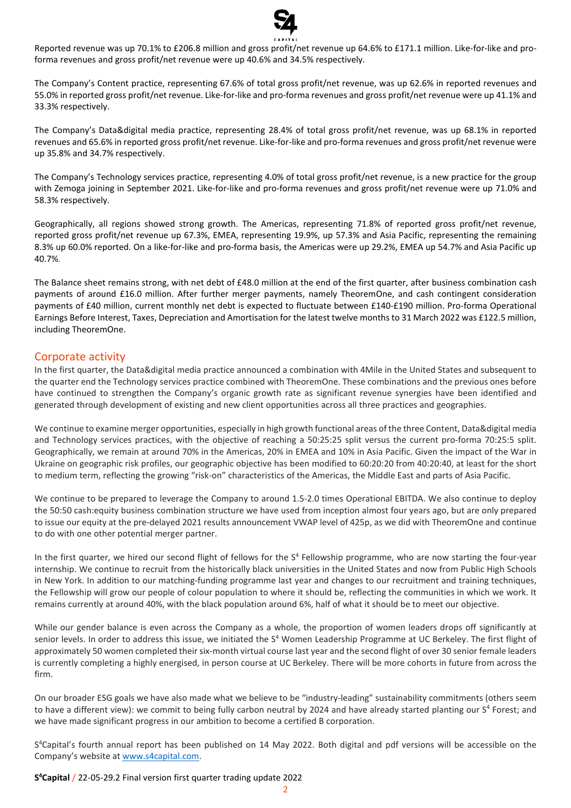

Reported revenue was up 70.1% to £206.8 million and gross profit/net revenue up 64.6% to £171.1 million. Like-for-like and proforma revenues and gross profit/net revenue were up 40.6% and 34.5% respectively.

The Company's Content practice, representing 67.6% of total gross profit/net revenue, was up 62.6% in reported revenues and 55.0% in reported gross profit/net revenue. Like-for-like and pro-forma revenues and gross profit/net revenue were up 41.1% and 33.3% respectively.

The Company's Data&digital media practice, representing 28.4% of total gross profit/net revenue, was up 68.1% in reported revenues and 65.6% in reported gross profit/net revenue. Like-for-like and pro-forma revenues and gross profit/net revenue were up 35.8% and 34.7% respectively.

The Company's Technology services practice, representing 4.0% of total gross profit/net revenue, is a new practice for the group with Zemoga joining in September 2021. Like-for-like and pro-forma revenues and gross profit/net revenue were up 71.0% and 58.3% respectively.

Geographically, all regions showed strong growth. The Americas, representing 71.8% of reported gross profit/net revenue, reported gross profit/net revenue up 67.3%, EMEA, representing 19.9%, up 57.3% and Asia Pacific, representing the remaining 8.3% up 60.0% reported. On a like-for-like and pro-forma basis, the Americas were up 29.2%, EMEA up 54.7% and Asia Pacific up 40.7%.

The Balance sheet remains strong, with net debt of £48.0 million at the end of the first quarter, after business combination cash payments of around £16.0 million. After further merger payments, namely TheoremOne, and cash contingent consideration payments of £40 million, current monthly net debt is expected to fluctuate between £140-£190 million. Pro-forma Operational Earnings Before Interest, Taxes, Depreciation and Amortisation for the latest twelve months to 31 March 2022 was £122.5 million, including TheoremOne.

## Corporate activity

In the first quarter, the Data&digital media practice announced a combination with 4Mile in the United States and subsequent to the quarter end the Technology services practice combined with TheoremOne. These combinations and the previous ones before have continued to strengthen the Company's organic growth rate as significant revenue synergies have been identified and generated through development of existing and new client opportunities across all three practices and geographies.

We continue to examine merger opportunities, especially in high growth functional areas of the three Content, Data&digital media and Technology services practices, with the objective of reaching a 50:25:25 split versus the current pro-forma 70:25:5 split. Geographically, we remain at around 70% in the Americas, 20% in EMEA and 10% in Asia Pacific. Given the impact of the War in Ukraine on geographic risk profiles, our geographic objective has been modified to 60:20:20 from 40:20:40, at least for the short to medium term, reflecting the growing "risk-on" characteristics of the Americas, the Middle East and parts of Asia Pacific.

We continue to be prepared to leverage the Company to around 1.5-2.0 times Operational EBITDA. We also continue to deploy the 50:50 cash:equity business combination structure we have used from inception almost four years ago, but are only prepared to issue our equity at the pre-delayed 2021 results announcement VWAP level of 425p, as we did with TheoremOne and continue to do with one other potential merger partner.

In the first quarter, we hired our second flight of fellows for the S<sup>4</sup> Fellowship programme, who are now starting the four-year internship. We continue to recruit from the historically black universities in the United States and now from Public High Schools in New York. In addition to our matching-funding programme last year and changes to our recruitment and training techniques, the Fellowship will grow our people of colour population to where it should be, reflecting the communities in which we work. It remains currently at around 40%, with the black population around 6%, half of what it should be to meet our objective.

While our gender balance is even across the Company as a whole, the proportion of women leaders drops off significantly at senior levels. In order to address this issue, we initiated the S<sup>4</sup> Women Leadership Programme at UC Berkeley. The first flight of approximately 50 women completed their six-month virtual course last year and the second flight of over 30 senior female leaders is currently completing a highly energised, in person course at UC Berkeley. There will be more cohorts in future from across the firm.

On our broader ESG goals we have also made what we believe to be "industry-leading" sustainability commitments (others seem to have a different view): we commit to being fully carbon neutral by 2024 and have already started planting our S<sup>4</sup> Forest; and we have made significant progress in our ambition to become a certified B corporation.

S<sup>4</sup>Capital's fourth annual report has been published on 14 May 2022. Both digital and pdf versions will be accessible on the Company's website at [www.s4capital.com.](http://www.s4capital.com/)

**S <sup>4</sup>Capital** / 22-05-29.2 Final version first quarter trading update 2022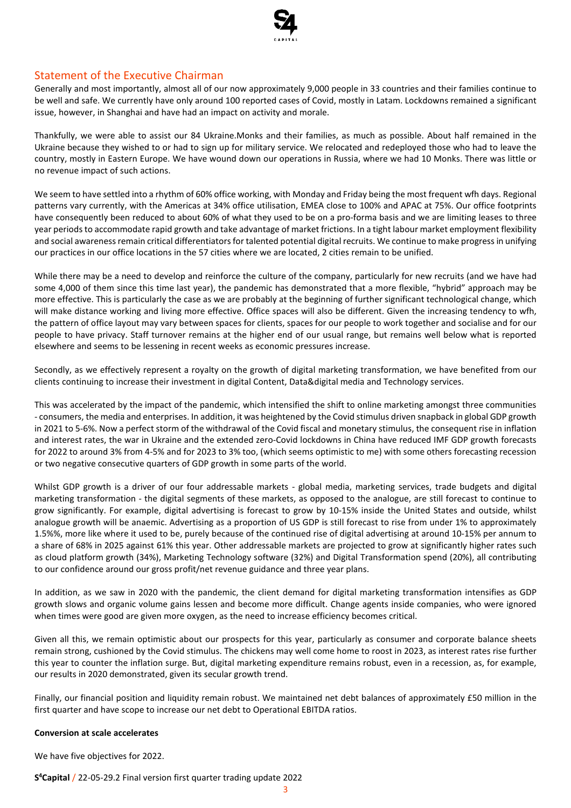

# Statement of the Executive Chairman

Generally and most importantly, almost all of our now approximately 9,000 people in 33 countries and their families continue to be well and safe. We currently have only around 100 reported cases of Covid, mostly in Latam. Lockdowns remained a significant issue, however, in Shanghai and have had an impact on activity and morale.

Thankfully, we were able to assist our 84 Ukraine.Monks and their families, as much as possible. About half remained in the Ukraine because they wished to or had to sign up for military service. We relocated and redeployed those who had to leave the country, mostly in Eastern Europe. We have wound down our operations in Russia, where we had 10 Monks. There was little or no revenue impact of such actions.

We seem to have settled into a rhythm of 60% office working, with Monday and Friday being the most frequent wfh days. Regional patterns vary currently, with the Americas at 34% office utilisation, EMEA close to 100% and APAC at 75%. Our office footprints have consequently been reduced to about 60% of what they used to be on a pro-forma basis and we are limiting leases to three year periods to accommodate rapid growth and take advantage of market frictions. In a tight labour market employment flexibility and social awareness remain critical differentiators for talented potential digital recruits. We continue to make progress in unifying our practices in our office locations in the 57 cities where we are located, 2 cities remain to be unified.

While there may be a need to develop and reinforce the culture of the company, particularly for new recruits (and we have had some 4,000 of them since this time last year), the pandemic has demonstrated that a more flexible, "hybrid" approach may be more effective. This is particularly the case as we are probably at the beginning of further significant technological change, which will make distance working and living more effective. Office spaces will also be different. Given the increasing tendency to wfh, the pattern of office layout may vary between spaces for clients, spaces for our people to work together and socialise and for our people to have privacy. Staff turnover remains at the higher end of our usual range, but remains well below what is reported elsewhere and seems to be lessening in recent weeks as economic pressures increase.

Secondly, as we effectively represent a royalty on the growth of digital marketing transformation, we have benefited from our clients continuing to increase their investment in digital Content, Data&digital media and Technology services.

This was accelerated by the impact of the pandemic, which intensified the shift to online marketing amongst three communities - consumers, the media and enterprises. In addition, it was heightened by the Covid stimulus driven snapback in global GDP growth in 2021 to 5-6%. Now a perfect storm of the withdrawal of the Covid fiscal and monetary stimulus, the consequent rise in inflation and interest rates, the war in Ukraine and the extended zero-Covid lockdowns in China have reduced IMF GDP growth forecasts for 2022 to around 3% from 4-5% and for 2023 to 3% too, (which seems optimistic to me) with some others forecasting recession or two negative consecutive quarters of GDP growth in some parts of the world.

Whilst GDP growth is a driver of our four addressable markets - global media, marketing services, trade budgets and digital marketing transformation - the digital segments of these markets, as opposed to the analogue, are still forecast to continue to grow significantly. For example, digital advertising is forecast to grow by 10-15% inside the United States and outside, whilst analogue growth will be anaemic. Advertising as a proportion of US GDP is still forecast to rise from under 1% to approximately 1.5%%, more like where it used to be, purely because of the continued rise of digital advertising at around 10-15% per annum to a share of 68% in 2025 against 61% this year. Other addressable markets are projected to grow at significantly higher rates such as cloud platform growth (34%), Marketing Technology software (32%) and Digital Transformation spend (20%), all contributing to our confidence around our gross profit/net revenue guidance and three year plans.

In addition, as we saw in 2020 with the pandemic, the client demand for digital marketing transformation intensifies as GDP growth slows and organic volume gains lessen and become more difficult. Change agents inside companies, who were ignored when times were good are given more oxygen, as the need to increase efficiency becomes critical.

Given all this, we remain optimistic about our prospects for this year, particularly as consumer and corporate balance sheets remain strong, cushioned by the Covid stimulus. The chickens may well come home to roost in 2023, as interest rates rise further this year to counter the inflation surge. But, digital marketing expenditure remains robust, even in a recession, as, for example, our results in 2020 demonstrated, given its secular growth trend.

Finally, our financial position and liquidity remain robust. We maintained net debt balances of approximately £50 million in the first quarter and have scope to increase our net debt to Operational EBITDA ratios.

#### **Conversion at scale accelerates**

We have five objectives for 2022.

**S <sup>4</sup>Capital** / 22-05-29.2 Final version first quarter trading update 2022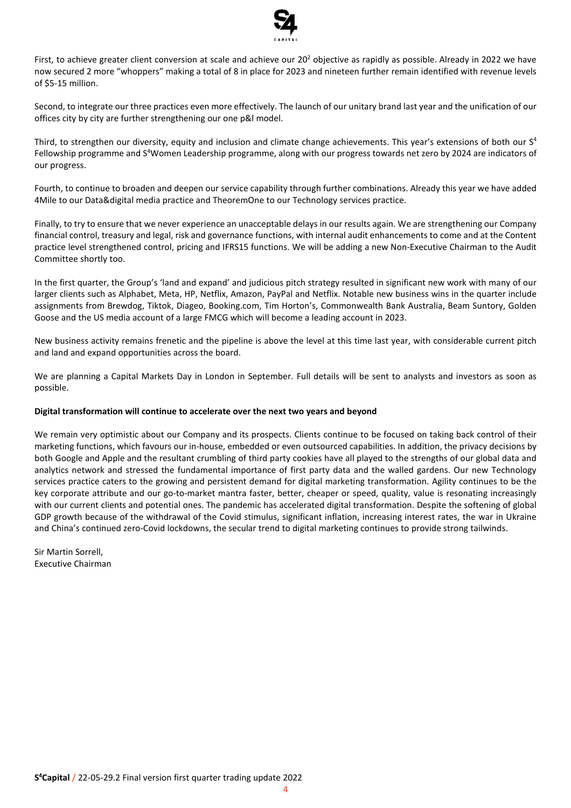

First, to achieve greater client conversion at scale and achieve our  $20<sup>2</sup>$  objective as rapidly as possible. Already in 2022 we have now secured 2 more "whoppers" making a total of 8 in place for 2023 and nineteen further remain identified with revenue levels of \$5-15 million.

Second, to integrate our three practices even more effectively. The launch of our unitary brand last year and the unification of our offices city by city are further strengthening our one p&l model.

Third, to strengthen our diversity, equity and inclusion and climate change achievements. This year's extensions of both our S<sup>4</sup> Fellowship programme and S <sup>4</sup>Women Leadership programme, along with our progress towards net zero by 2024 are indicators of our progress.

Fourth, to continue to broaden and deepen our service capability through further combinations. Already this year we have added 4Mile to our Data&digital media practice and TheoremOne to our Technology services practice.

Finally, to try to ensure that we never experience an unacceptable delays in our results again. We are strengthening our Company financial control, treasury and legal, risk and governance functions, with internal audit enhancements to come and at the Content practice level strengthened control, pricing and IFRS15 functions. We will be adding a new Non-Executive Chairman to the Audit Committee shortly too.

In the first quarter, the Group's 'land and expand' and judicious pitch strategy resulted in significant new work with many of our larger clients such as Alphabet, Meta, HP, Netflix, Amazon, PayPal and Netflix. Notable new business wins in the quarter include assignments from Brewdog, Tiktok, Diageo, Booking.com, Tim Horton's, Commonwealth Bank Australia, Beam Suntory, Golden Goose and the US media account of a large FMCG which will become a leading account in 2023.

New business activity remains frenetic and the pipeline is above the level at this time last year, with considerable current pitch and land and expand opportunities across the board.

We are planning a Capital Markets Day in London in September. Full details will be sent to analysts and investors as soon as possible.

#### **Digital transformation will continue to accelerate over the next two years and beyond**

We remain very optimistic about our Company and its prospects. Clients continue to be focused on taking back control of their marketing functions, which favours our in-house, embedded or even outsourced capabilities. In addition, the privacy decisions by both Google and Apple and the resultant crumbling of third party cookies have all played to the strengths of our global data and analytics network and stressed the fundamental importance of first party data and the walled gardens. Our new Technology services practice caters to the growing and persistent demand for digital marketing transformation. Agility continues to be the key corporate attribute and our go-to-market mantra faster, better, cheaper or speed, quality, value is resonating increasingly with our current clients and potential ones. The pandemic has accelerated digital transformation. Despite the softening of global GDP growth because of the withdrawal of the Covid stimulus, significant inflation, increasing interest rates, the war in Ukraine and China's continued zero-Covid lockdowns, the secular trend to digital marketing continues to provide strong tailwinds.

Sir Martin Sorrell, Executive Chairman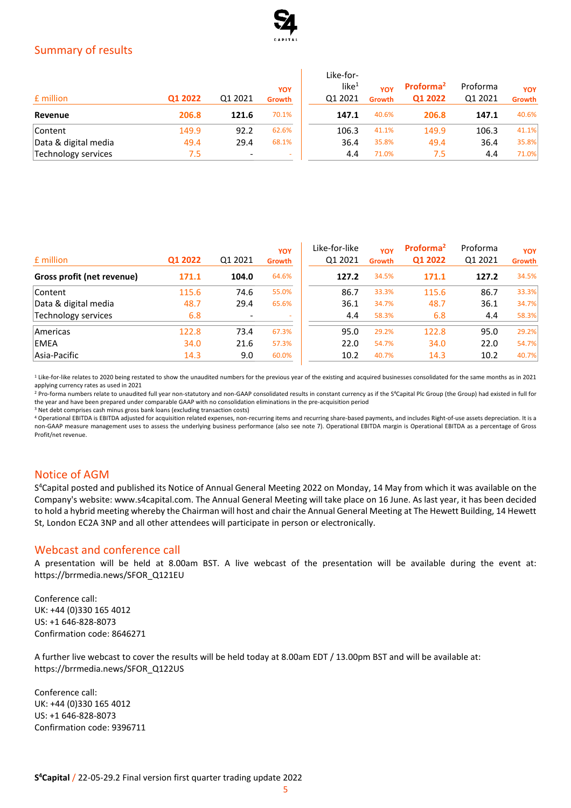

# Summary of results

| £ million            | Q1 2022 | Q1 2021 | YOY<br><b>Growth</b>     | Like-for-<br>like $1$<br>01 2021 | YOY<br><b>Growth</b> | Proforma <sup>2</sup><br>Q1 2022 | Proforma<br>Q1 2021 | <b>YOY</b><br>Growth |
|----------------------|---------|---------|--------------------------|----------------------------------|----------------------|----------------------------------|---------------------|----------------------|
| Revenue              | 206.8   | 121.6   | 70.1%                    | 147.1                            | 40.6%                | 206.8                            | 147.1               | 40.6%                |
| Content              | 149.9   | 92.2    | 62.6%                    | 106.3                            | 41.1%                | 149.9                            | 106.3               | 41.1%                |
| Data & digital media | 49.4    | 29.4    | 68.1%                    | 36.4                             | 35.8%                | 49.4                             | 36.4                | 35.8%                |
| Technology services  | 7.5     | -       | $\overline{\phantom{a}}$ | 4.4                              | 71.0%                | 7.5                              | 4.4                 | 71.0%                |

| £ million                  | Q1 2022 | Q1 2021 | YOY<br>Growth            | Like-for-like<br>Q1 2021 | YOY<br><b>Growth</b> | Proforma <sup>2</sup><br>Q1 2022 | Proforma<br>Q1 2021 | <b>YOY</b><br>Growth |
|----------------------------|---------|---------|--------------------------|--------------------------|----------------------|----------------------------------|---------------------|----------------------|
| Gross profit (net revenue) | 171.1   | 104.0   | 64.6%                    | 127.2                    | 34.5%                | 171.1                            | 127.2               | 34.5%                |
| Content                    | 115.6   | 74.6    | 55.0%                    | 86.7                     | 33.3%                | 115.6                            | 86.7                | 33.3%                |
| Data & digital media       | 48.7    | 29.4    | 65.6%                    | 36.1                     | 34.7%                | 48.7                             | 36.1                | 34.7%                |
| Technology services        | 6.8     |         | $\overline{\phantom{a}}$ | 4.4                      | 58.3%                | 6.8                              | 4.4                 | 58.3%                |
| Americas                   | 122.8   | 73.4    | 67.3%                    | 95.0                     | 29.2%                | 122.8                            | 95.0                | 29.2%                |
| EMEA                       | 34.0    | 21.6    | 57.3%                    | 22.0                     | 54.7%                | 34.0                             | 22.0                | 54.7%                |
| Asia-Pacific               | 14.3    | 9.0     | 60.0%                    | 10.2                     | 40.7%                | 14.3                             | 10.2                | 40.7%                |

<sup>1</sup> Like-for-like relates to 2020 being restated to show the unaudited numbers for the previous year of the existing and acquired businesses consolidated for the same months as in 2021 applying currency rates as used in 2021

<sup>2</sup> Pro-forma numbers relate to unaudited full year non-statutory and non-GAAP consolidated results in constant currency as if the S<sup>4</sup>Capital Plc Group (the Group) had existed in full for the year and have been prepared under comparable GAAP with no consolidation eliminations in the pre-acquisition period

<sup>3</sup> Net debt comprises cash minus gross bank loans (excluding transaction costs)

<sup>4</sup> Operational EBITDA is EBITDA adjusted for acquisition related expenses, non-recurring items and recurring share-based payments, and includes Right-of-use assets depreciation. It is a non-GAAP measure management uses to assess the underlying business performance (also see note 7). Operational EBITDA margin is Operational EBITDA as a percentage of Gross Profit/net revenue.

# Notice of AGM

S <sup>4</sup>Capital posted and published its Notice of Annual General Meeting 2022 on Monday, 14 May from which it was available on the Company's website: www.s4capital.com. The Annual General Meeting will take place on 16 June. As last year, it has been decided to hold a hybrid meeting whereby the Chairman will host and chair the Annual General Meeting at The Hewett Building, 14 Hewett St, London EC2A 3NP and all other attendees will participate in person or electronically.

### Webcast and conference call

A presentation will be held at 8.00am BST. A live webcast of the presentation will be available during the event at: https://brrmedia.news/SFOR\_Q121EU

Conference call: UK: +44 (0)330 165 4012 US: +1 646-828-8073 Confirmation code: 8646271

A further live webcast to cover the results will be held today at 8.00am EDT / 13.00pm BST and will be available at: https://brrmedia.news/SFOR\_Q122US

Conference call: UK: +44 (0)330 165 4012 US: +1 646-828-8073 Confirmation code: 9396711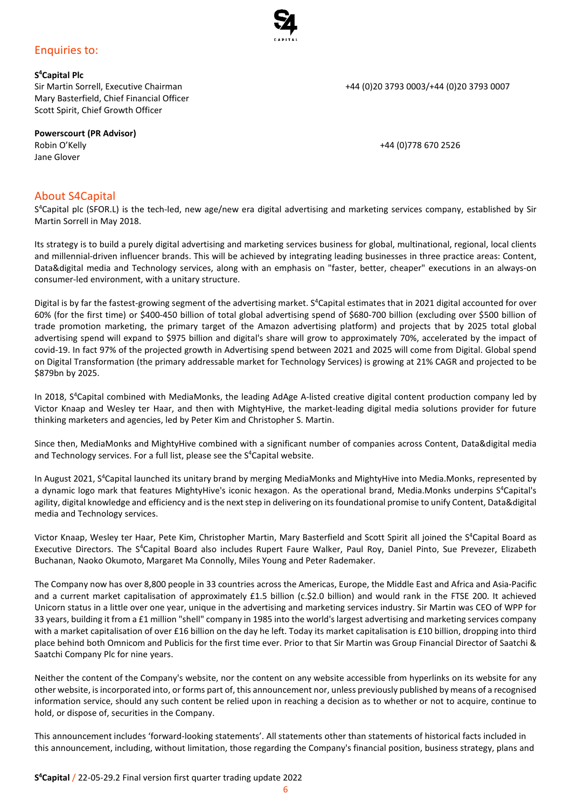# Enquiries to:

**S <sup>4</sup>Capital Plc** Mary Basterfield, Chief Financial Officer Scott Spirit, Chief Growth Officer

**Powerscourt (PR Advisor)** Robin O'Kelly +44 (0)778 670 2526 Jane Glover

### About S4Capital

S <sup>4</sup>Capital plc (SFOR.L) is the tech-led, new age/new era digital advertising and marketing services company, established by Sir Martin Sorrell in May 2018.

Its strategy is to build a purely digital advertising and marketing services business for global, multinational, regional, local clients and millennial-driven influencer brands. This will be achieved by integrating leading businesses in three practice areas: Content, Data&digital media and Technology services, along with an emphasis on "faster, better, cheaper" executions in an always-on consumer-led environment, with a unitary structure.

Digital is by far the fastest-growing segment of the advertising market. S<sup>4</sup>Capital estimates that in 2021 digital accounted for over 60% (for the first time) or \$400-450 billion of total global advertising spend of \$680-700 billion (excluding over \$500 billion of trade promotion marketing, the primary target of the Amazon advertising platform) and projects that by 2025 total global advertising spend will expand to \$975 billion and digital's share will grow to approximately 70%, accelerated by the impact of covid-19. In fact 97% of the projected growth in Advertising spend between 2021 and 2025 will come from Digital. Global spend on Digital Transformation (the primary addressable market for Technology Services) is growing at 21% CAGR and projected to be \$879bn by 2025.

In 2018, S <sup>4</sup>Capital combined with MediaMonks, the leading AdAge A-listed creative digital content production company led by Victor Knaap and Wesley ter Haar, and then with MightyHive, the market-leading digital media solutions provider for future thinking marketers and agencies, led by Peter Kim and Christopher S. Martin.

Since then, MediaMonks and MightyHive combined with a significant number of companies across Content, Data&digital media and Technology services. For a full list, please see the S <sup>4</sup>Capital website.

In August 2021, S<sup>4</sup>Capital launched its unitary brand by merging MediaMonks and MightyHive into Media.Monks, represented by a dynamic logo mark that features MightyHive's iconic hexagon. As the operational brand, Media.Monks underpins S <sup>4</sup>Capital's agility, digital knowledge and efficiency and is the next step in delivering on its foundational promise to unify Content, Data&digital media and Technology services.

Victor Knaap, Wesley ter Haar, Pete Kim, Christopher Martin, Mary Basterfield and Scott Spirit all joined the S<sup>4</sup>Capital Board as Executive Directors. The S<sup>4</sup>Capital Board also includes Rupert Faure Walker, Paul Roy, Daniel Pinto, Sue Prevezer, Elizabeth Buchanan, Naoko Okumoto, Margaret Ma Connolly, Miles Young and Peter Rademaker.

The Company now has over 8,800 people in 33 countries across the Americas, Europe, the Middle East and Africa and Asia-Pacific and a current market capitalisation of approximately £1.5 billion (c.\$2.0 billion) and would rank in the FTSE 200. It achieved Unicorn status in a little over one year, unique in the advertising and marketing services industry. Sir Martin was CEO of WPP for 33 years, building it from a £1 million "shell" company in 1985 into the world's largest advertising and marketing services company with a market capitalisation of over £16 billion on the day he left. Today its market capitalisation is £10 billion, dropping into third place behind both Omnicom and Publicis for the first time ever. Prior to that Sir Martin was Group Financial Director of Saatchi & Saatchi Company Plc for nine years.

Neither the content of the Company's website, nor the content on any website accessible from hyperlinks on its website for any other website, isincorporated into, or forms part of, this announcement nor, unless previously published by means of a recognised information service, should any such content be relied upon in reaching a decision as to whether or not to acquire, continue to hold, or dispose of, securities in the Company.

This announcement includes 'forward-looking statements'. All statements other than statements of historical facts included in this announcement, including, without limitation, those regarding the Company's financial position, business strategy, plans and